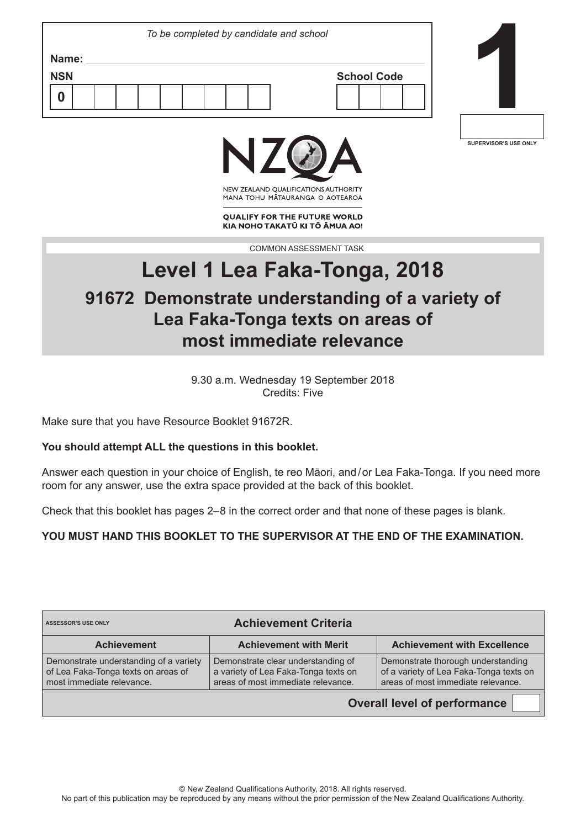| Name:<br><b>NSN</b><br><b>School Code</b> | To be completed by candidate and school |  |
|-------------------------------------------|-----------------------------------------|--|
|                                           |                                         |  |
|                                           |                                         |  |
|                                           |                                         |  |







NEW ZEALAND OUALIFICATIONS AUTHORITY MANA TOHU MATAURANGA O AOTEAROA

**QUALIFY FOR THE FUTURE WORLD** KIA NOHO TAKATŪ KI TŌ ĀMUA AO!

COMMON ASSESSMENT TASK

# **Level 1 Lea Faka-Tonga, 2018**

## **91672 Demonstrate understanding of a variety of Lea Faka-Tonga texts on areas of most immediate relevance**

9.30 a.m. Wednesday 19 September 2018 Credits: Five

Make sure that you have Resource Booklet 91672R.

#### **You should attempt ALL the questions in this booklet.**

Answer each question in your choice of English, te reo Māori, and / or Lea Faka-Tonga. If you need more room for any answer, use the extra space provided at the back of this booklet.

Check that this booklet has pages 2–8 in the correct order and that none of these pages is blank.

**YOU MUST HAND THIS BOOKLET TO THE SUPERVISOR AT THE END OF THE EXAMINATION.**

| <b>Achievement Criteria</b><br><b>ASSESSOR'S USE ONLY</b>                                                  |                                                                                                                  |                                                                                                                     |  |  |  |
|------------------------------------------------------------------------------------------------------------|------------------------------------------------------------------------------------------------------------------|---------------------------------------------------------------------------------------------------------------------|--|--|--|
| <b>Achievement</b>                                                                                         | <b>Achievement with Merit</b>                                                                                    | <b>Achievement with Excellence</b>                                                                                  |  |  |  |
| Demonstrate understanding of a variety<br>of Lea Faka-Tonga texts on areas of<br>most immediate relevance. | Demonstrate clear understanding of<br>a variety of Lea Faka-Tonga texts on<br>areas of most immediate relevance. | Demonstrate thorough understanding<br>of a variety of Lea Faka-Tonga texts on<br>areas of most immediate relevance. |  |  |  |
| <b>Overall level of performance</b>                                                                        |                                                                                                                  |                                                                                                                     |  |  |  |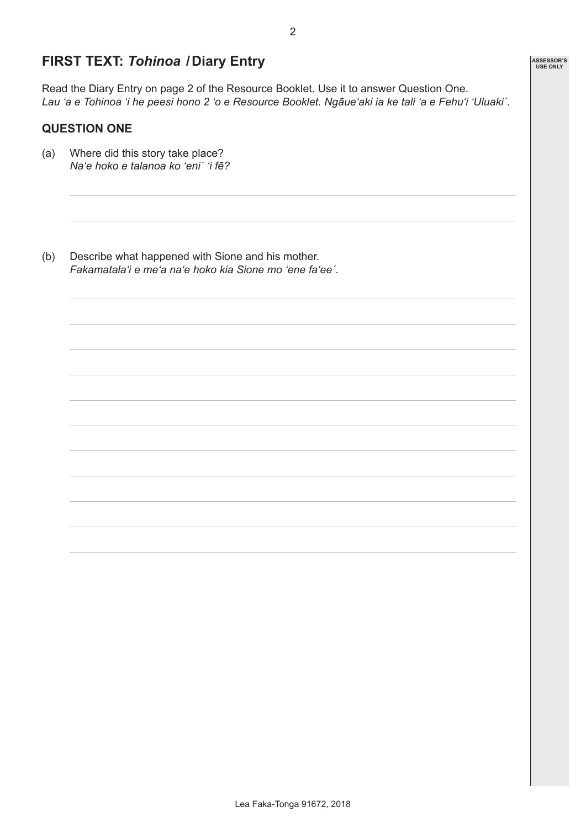## **FIRST TEXT:** *Tohinoa* **/Diary Entry**

Read the Diary Entry on page 2 of the Resource Booklet. Use it to answer Question One. *Lau 'a e Tohinoa 'i he peesi hono 2 'o e Resource Booklet. Ngāue'aki ia ke tali 'a e Fehu'i 'Uluaki´.*

#### **QUESTION ONE**

- (a) Where did this story take place? *Na'e hoko e talanoa ko 'eni´ 'i fē?*
- (b) Describe what happened with Sione and his mother. *Fakamatala'i e me'a na'e hoko kia Sione mo 'ene fa'eeˊ.*

**ASSESSOR'S USE ONLY**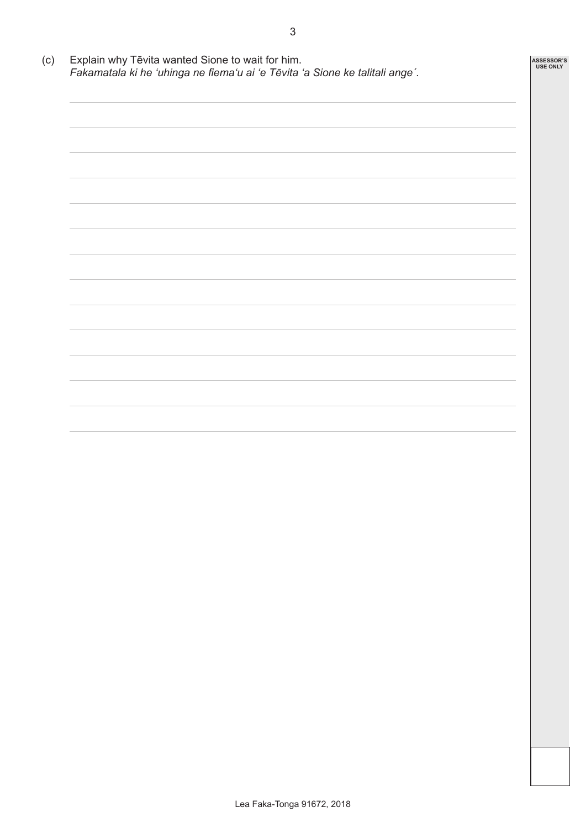| Fakamatala ki he 'uhinga ne fiema'u ai 'e Tēvita 'a Sione ke talitali ange'. |  |  |  |
|------------------------------------------------------------------------------|--|--|--|
|                                                                              |  |  |  |
|                                                                              |  |  |  |
|                                                                              |  |  |  |
|                                                                              |  |  |  |
|                                                                              |  |  |  |
|                                                                              |  |  |  |
|                                                                              |  |  |  |
|                                                                              |  |  |  |
|                                                                              |  |  |  |
|                                                                              |  |  |  |
|                                                                              |  |  |  |
|                                                                              |  |  |  |
|                                                                              |  |  |  |
|                                                                              |  |  |  |
|                                                                              |  |  |  |
|                                                                              |  |  |  |
|                                                                              |  |  |  |
|                                                                              |  |  |  |
|                                                                              |  |  |  |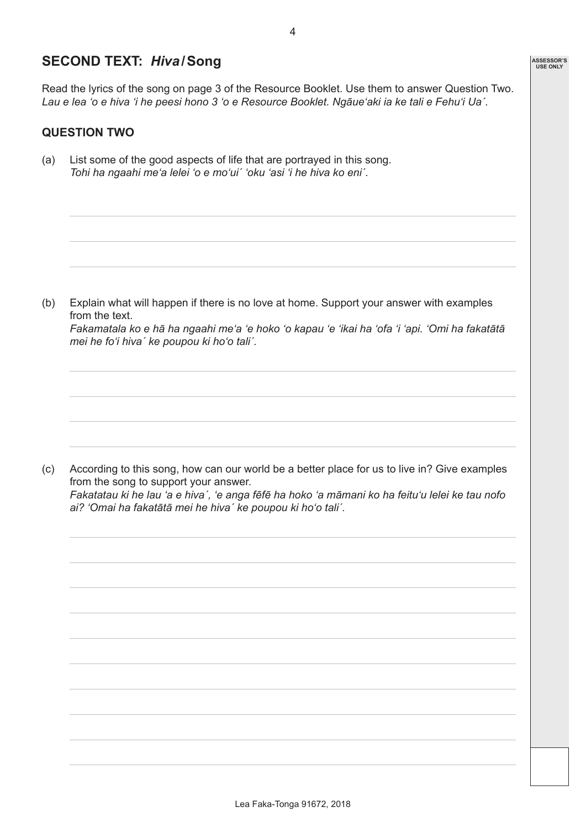## **SECOND TEXT:** *Hiva***/Song**

Read the lyrics of the song on page 3 of the Resource Booklet. Use them to answer Question Two. *Lau e lea 'o e hiva 'i he peesi hono 3 'o e Resource Booklet. Ngāue'aki ia ke tali e Fehu'i Ua´.*

#### **QUESTION TWO**

(a) List some of the good aspects of life that are portrayed in this song. *Tohi ha ngaahi me'a lelei 'o e mo'ui´ 'oku 'asi 'i he hiva ko eni´.*

(b) Explain what will happen if there is no love at home. Support your answer with examples from the text.

*Fakamatala ko e hā ha ngaahi me'a 'e hoko 'o kapau 'e 'ikai ha 'ofa 'i 'api. 'Omi ha fakatātā mei he fo'i hiva´ ke poupou ki ho'o tali´.*

(c) According to this song, how can our world be a better place for us to live in? Give examples from the song to support your answer. *Fakatatau ki he lau 'a e hiva´, 'e anga fēfē ha hoko 'a māmani ko ha feitu'u lelei ke tau nofo ai? 'Omai ha fakatātā mei he hiva´ ke poupou ki ho'o tali´.* 

**ASSESSOR'S USE ONLY**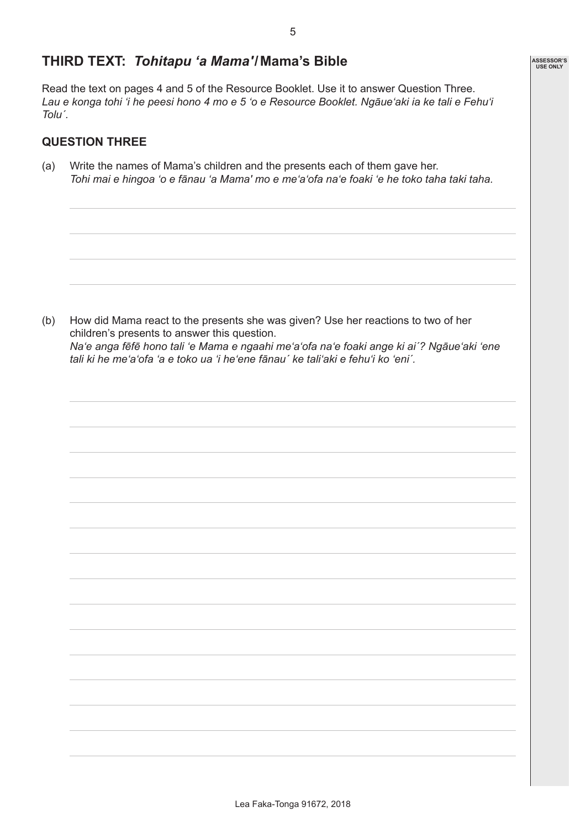**ASSESSOR'S USE ONLY**

### **THIRD TEXT:** *Tohitapu 'a Mama'***/Mama's Bible**

Read the text on pages 4 and 5 of the Resource Booklet. Use it to answer Question Three. *Lau e konga tohi 'i he peesi hono 4 mo e 5 'o e Resource Booklet. Ngāue'aki ia ke tali e Fehu'i Toluˊ.*

#### **QUESTION THREE**

(a) Write the names of Mama's children and the presents each of them gave her. *Tohi mai e hingoa 'o e fānau 'a Mama' mo e me'a'ofa na'e foaki 'e he toko taha taki taha.*

(b) How did Mama react to the presents she was given? Use her reactions to two of her children's presents to answer this question. *Na'e anga fēfē hono tali 'e Mama e ngaahi me'a'ofa na'e foaki ange ki ai´? Ngāue'aki 'ene tali ki he me'a'ofa 'a e toko ua 'i he'ene fānau´ ke tali'aki e fehu'i ko 'eni´.*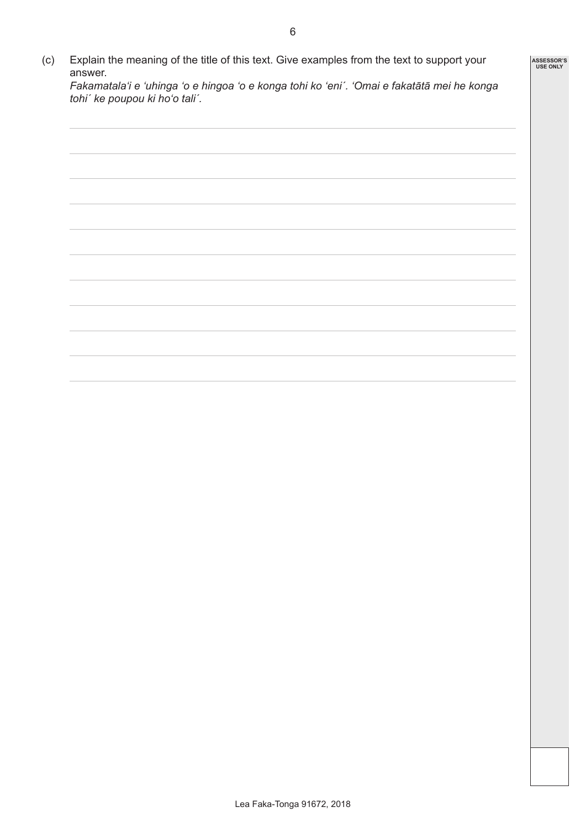(c) Explain the meaning of the title of this text. Give examples from the text to support your answer. *Fakamatala'i e 'uhinga 'o e hingoa 'o e konga tohi ko 'eni´. 'Omai e fakatātā mei he konga tohi´ ke poupou ki ho'o tali´.* **ASSESSOR'S USE ONLY**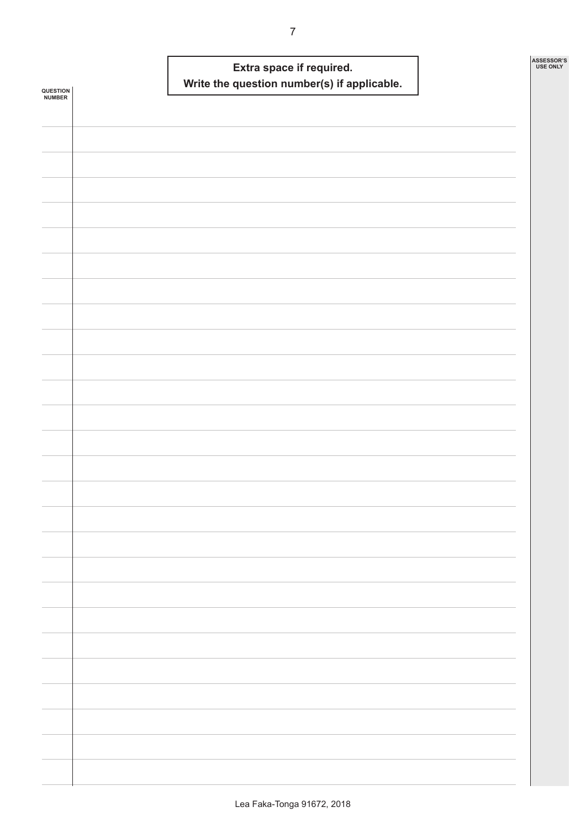| QUESTION<br>NUMBER | Extra space if required.<br>Write the question number(s) if applicable. | ASSESSOR'S<br>USE ONLY |
|--------------------|-------------------------------------------------------------------------|------------------------|
|                    |                                                                         |                        |
|                    |                                                                         |                        |
|                    |                                                                         |                        |
|                    |                                                                         |                        |
|                    |                                                                         |                        |
|                    |                                                                         |                        |
|                    |                                                                         |                        |
|                    |                                                                         |                        |
|                    |                                                                         |                        |
|                    |                                                                         |                        |
|                    |                                                                         |                        |
|                    |                                                                         |                        |
|                    |                                                                         |                        |
|                    |                                                                         |                        |
|                    |                                                                         |                        |
|                    |                                                                         |                        |
|                    |                                                                         |                        |
|                    |                                                                         |                        |
|                    |                                                                         |                        |
|                    |                                                                         |                        |
|                    |                                                                         |                        |
|                    |                                                                         |                        |
|                    |                                                                         |                        |
|                    |                                                                         |                        |
|                    |                                                                         |                        |
|                    |                                                                         |                        |